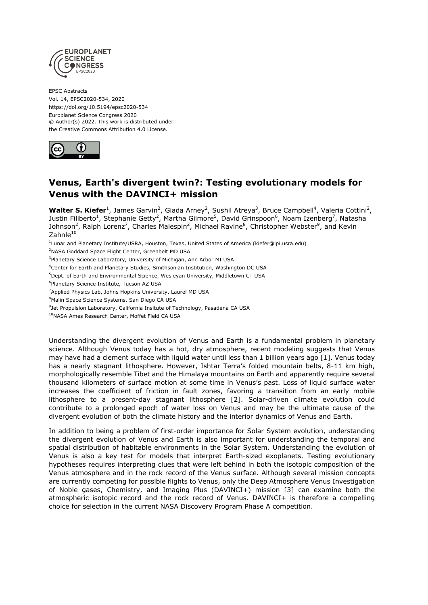

EPSC Abstracts Vol. 14, EPSC2020-534, 2020 https://doi.org/10.5194/epsc2020-534 Europlanet Science Congress 2020 © Author(s) 2022. This work is distributed under the Creative Commons Attribution 4.0 License.



# **Venus, Earth's divergent twin?: Testing evolutionary models for Venus with the DAVINCI+ mission**

Walter S. Kiefer<sup>1</sup>, James Garvin<sup>2</sup>, Giada Arney<sup>2</sup>, Sushil Atreya<sup>3</sup>, Bruce Campbell<sup>4</sup>, Valeria Cottini<sup>2</sup>, Justin Filiberto<sup>1</sup>, Stephanie Getty<sup>2</sup>, Martha Gilmore<sup>5</sup>, David Grinspoon<sup>6</sup>, Noam Izenberg<sup>7</sup>, Natasha Johnson<sup>2</sup>, Ralph Lorenz<sup>7</sup>, Charles Malespin<sup>2</sup>, Michael Ravine<sup>8</sup>, Christopher Webster<sup>9</sup>, and Kevin  $Z$ ahnle $10$ 

1 Lunar and Planetary Institute/USRA, Houston, Texas, United States of America (kiefer@lpi.usra.edu)

<sup>2</sup>NASA Goddard Space Flight Center, Greenbelt MD USA

<sup>3</sup>Planetary Science Laboratory, University of Michigan, Ann Arbor MI USA

<sup>4</sup>Center for Earth and Planetary Studies, Smithsonian Institution, Washington DC USA

<sup>5</sup>Dept. of Earth and Environmental Science, Wesleyan University, Middletown CT USA

6 Planetary Science Institute, Tucson AZ USA

<sup>7</sup>Applied Physics Lab, Johns Hopkins University, Laurel MD USA

8Malin Space Science Systems, San Diego CA USA

<sup>9</sup>Jet Propulsion Laboratory, California Insitute of Technology, Pasadena CA USA

<sup>10</sup>NASA Ames Research Center, Moffet Field CA USA

Understanding the divergent evolution of Venus and Earth is a fundamental problem in planetary science. Although Venus today has a hot, dry atmosphere, recent modeling suggests that Venus may have had a clement surface with liquid water until less than 1 billion years ago [1]. Venus today has a nearly stagnant lithosphere. However, Ishtar Terra's folded mountain belts, 8-11 km high, morphologically resemble Tibet and the Himalaya mountains on Earth and apparently require several thousand kilometers of surface motion at some time in Venus's past. Loss of liquid surface water increases the coefficient of friction in fault zones, favoring a transition from an early mobile lithosphere to a present-day stagnant lithosphere [2]. Solar-driven climate evolution could contribute to a prolonged epoch of water loss on Venus and may be the ultimate cause of the divergent evolution of both the climate history and the interior dynamics of Venus and Earth.

In addition to being a problem of first-order importance for Solar System evolution, understanding the divergent evolution of Venus and Earth is also important for understanding the temporal and spatial distribution of habitable environments in the Solar System. Understanding the evolution of Venus is also a key test for models that interpret Earth-sized exoplanets. Testing evolutionary hypotheses requires interpreting clues that were left behind in both the isotopic composition of the Venus atmosphere and in the rock record of the Venus surface. Although several mission concepts are currently competing for possible flights to Venus, only the Deep Atmosphere Venus Investigation of Noble gases, Chemistry, and Imaging Plus (DAVINCI+) mission [3] can examine both the atmospheric isotopic record and the rock record of Venus. DAVINCI+ is therefore a compelling choice for selection in the current NASA Discovery Program Phase A competition.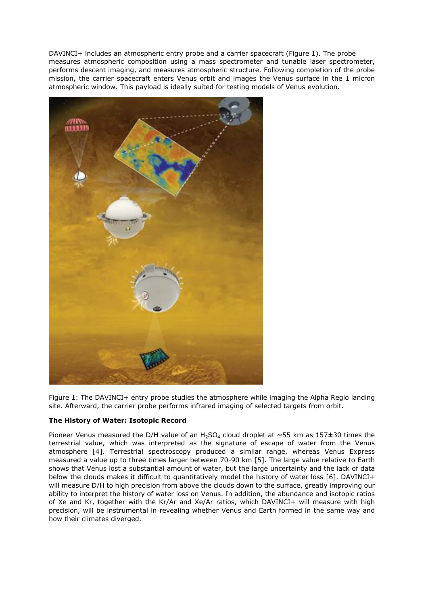DAVINCI+ includes an atmospheric entry probe and a carrier spacecraft (Figure 1). The probe measures atmospheric composition using a mass spectrometer and tunable laser spectrometer, performs descent imaging, and measures atmospheric structure. Following completion of the probe mission, the carrier spacecraft enters Venus orbit and images the Venus surface in the 1 micron atmospheric window. This payload is ideally suited for testing models of Venus evolution.



Figure 1: The DAVINCI+ entry probe studies the atmosphere while imaging the Alpha Regio landing site. Afterward, the carrier probe performs infrared imaging of selected targets from orbit.

# **The History of Water: Isotopic Record**

Pioneer Venus measured the D/H value of an H<sub>2</sub>SO<sub>4</sub> cloud droplet at  $\sim$ 55 km as 157±30 times the terrestrial value, which was interpreted as the signature of escape of water from the Venus atmosphere [4]. Terrestrial spectroscopy produced a similar range, whereas Venus Express measured a value up to three times larger between 70-90 km [5]. The large value relative to Earth shows that Venus lost a substantial amount of water, but the large uncertainty and the lack of data below the clouds makes it difficult to quantitatively model the history of water loss [6]. DAVINCI+ will measure D/H to high precision from above the clouds down to the surface, greatly improving our ability to interpret the history of water loss on Venus. In addition, the abundance and isotopic ratios of Xe and Kr, together with the Kr/Ar and Xe/Ar ratios, which DAVINCI+ will measure with high precision, will be instrumental in revealing whether Venus and Earth formed in the same way and how their climates diverged.